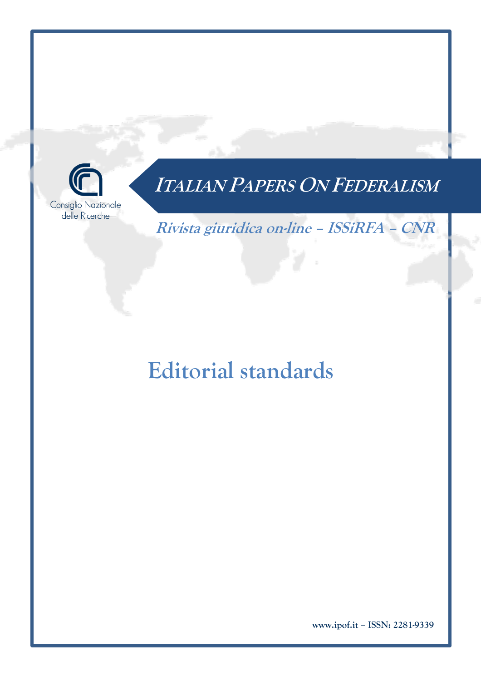

**Rivista giuridica on-line – ISSiRFA – CNR**

# **Editorial standards**

**www.ipof.it – ISSN: 2281-9339**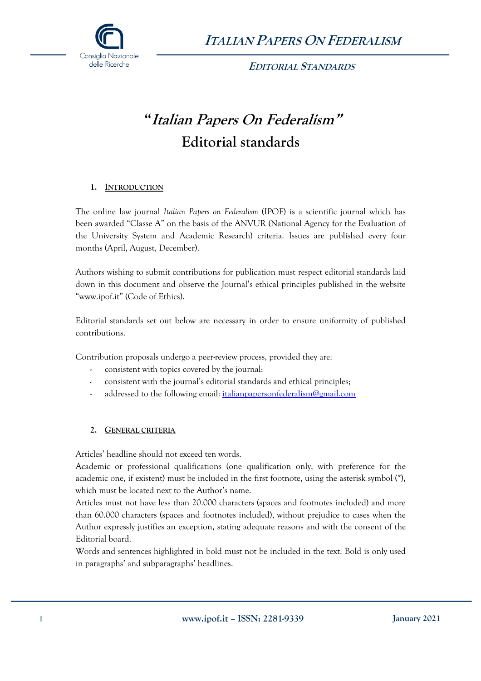

 **EDITORIAL STANDARDS**

### **"Italian Papers On Federalism" Editorial standards**

#### **1. INTRODUCTION**

The online law journal *Italian Papers on Federalism* (IPOF) is a scientific journal which has been awarded "Classe A" on the basis of the ANVUR (National Agency for the Evaluation of the University System and Academic Research) criteria. Issues are published every four months (April, August, December).

Authors wishing to submit contributions for publication must respect editorial standards laid down in this document and observe the Journal's ethical principles published in the website "www.ipof.it" (Code of Ethics).

Editorial standards set out below are necessary in order to ensure uniformity of published contributions.

Contribution proposals undergo a peer-review process, provided they are:

- consistent with topics covered by the journal;
- consistent with the journal's editorial standards and ethical principles;
- addressed to the following email: *italianpapersonfederalism@gmail.com*

#### **2. GENERAL CRITERIA**

Articles' headline should not exceed ten words.

Academic or professional qualifications (one qualification only, with preference for the academic one, if existent) must be included in the first footnote, using the asterisk symbol (\*), which must be located next to the Author's name.

Articles must not have less than 20.000 characters (spaces and footnotes included) and more than 60.000 characters (spaces and footnotes included), without prejudice to cases when the Author expressly justifies an exception, stating adequate reasons and with the consent of the Editorial board.

Words and sentences highlighted in bold must not be included in the text. Bold is only used in paragraphs' and subparagraphs' headlines.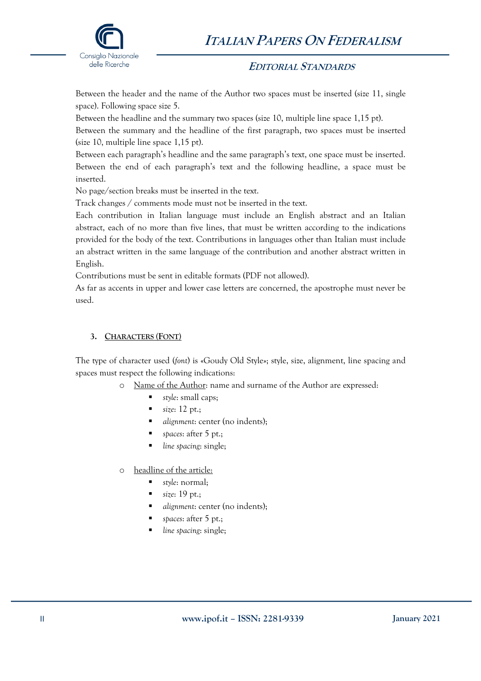

#### **EDITORIAL STANDARDS**

Between the header and the name of the Author two spaces must be inserted (size 11, single space). Following space size 5.

Between the headline and the summary two spaces (size 10, multiple line space 1,15 pt).

Between the summary and the headline of the first paragraph, two spaces must be inserted (size 10, multiple line space 1,15 pt).

Between each paragraph's headline and the same paragraph's text, one space must be inserted. Between the end of each paragraph's text and the following headline, a space must be inserted.

No page/section breaks must be inserted in the text.

Track changes / comments mode must not be inserted in the text.

Each contribution in Italian language must include an English abstract and an Italian abstract, each of no more than five lines, that must be written according to the indications provided for the body of the text. Contributions in languages other than Italian must include an abstract written in the same language of the contribution and another abstract written in English.

Contributions must be sent in editable formats (PDF not allowed).

As far as accents in upper and lower case letters are concerned, the apostrophe must never be used.

#### **3. CHARACTERS (FONT)**

The type of character used (*font*) is «Goudy Old Style»; style, size, alignment, line spacing and spaces must respect the following indications:

- o Name of the Author: name and surname of the Author are expressed:
	- *style*: small caps;
	- *size*: 12 pt.;
	- § *alignment*: center (no indents);
	- *spaces*: after 5 pt.;
	- *line spacing*: single;
- o headline of the article:
	- § *style*: normal;
	- § *size*: 19 pt.;
	- *alignment*: center (no indents);
	- *spaces*: after 5 pt.;
	- *line spacing*: single;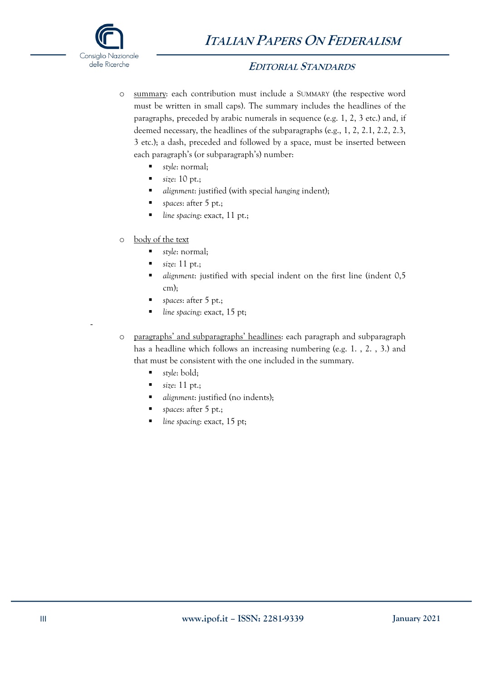

-

#### **EDITORIAL STANDARDS**

- o summary: each contribution must include a SUMMARY (the respective word must be written in small caps). The summary includes the headlines of the paragraphs, preceded by arabic numerals in sequence (e.g. 1, 2, 3 etc.) and, if deemed necessary, the headlines of the subparagraphs (e.g., 1, 2, 2.1, 2.2, 2.3, 3 etc.); a dash, preceded and followed by a space, must be inserted between each paragraph's (or subparagraph's) number:
	- § *style*: normal;
	- *size*: 10 pt.;
	- *alignment*: justified (with special *hanging* indent):
	- *spaces*: after 5 pt.;
	- *line spacing*: exact, 11 pt.;
- o body of the text
	- § *style*: normal;
	- *size*: 11 pt.;
	- § *alignment*: justified with special indent on the first line (indent 0,5 cm);
	- § *spaces*: after 5 pt.;
	- § *line spacing*: exact, 15 pt;
- o paragraphs' and subparagraphs' headlines: each paragraph and subparagraph has a headline which follows an increasing numbering (e.g. 1. , 2. , 3.) and that must be consistent with the one included in the summary.
	- § *style*: bold;
	- $\blacksquare$  size: 11 pt.;
	- *alignment*: justified (no indents);
	- *spaces*: after 5 pt.;
	- line spacing: exact, 15 pt;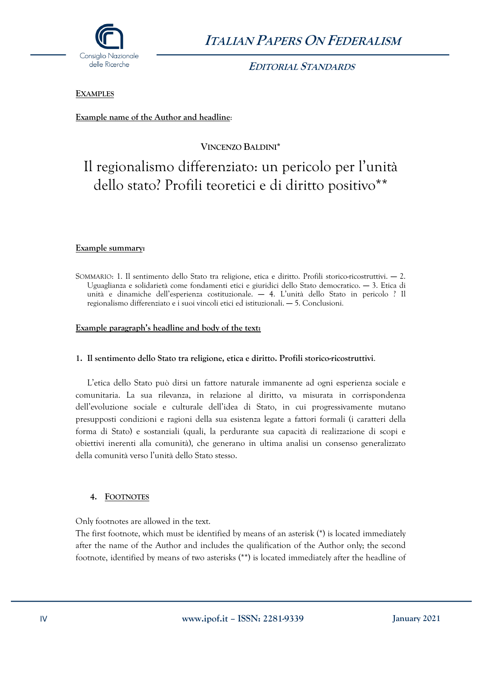

 **EDITORIAL STANDARDS**

#### **EXAMPLES**

**Example name of the Author and headline**:

**VINCENZO BALDINI\***

### Il regionalismo differenziato: un pericolo per l'unità dello stato? Profili teoretici e di diritto positivo\*\*

#### **Example summary:**

SOMMARIO: 1. Il sentimento dello Stato tra religione, etica e diritto. Profili storico-ricostruttivi. ― 2. Uguaglianza e solidarietà come fondamenti etici e giuridici dello Stato democratico. ― 3. Etica di unità e dinamiche dell'esperienza costituzionale. ― 4. L'unità dello Stato in pericolo ? Il regionalismo differenziato e i suoi vincoli etici ed istituzionali. ― 5. Conclusioni.

#### **Example paragraph's headline and body of the text:**

#### **1. Il sentimento dello Stato tra religione, etica e diritto. Profili storico-ricostruttivi**.

L'etica dello Stato può dirsi un fattore naturale immanente ad ogni esperienza sociale e comunitaria. La sua rilevanza, in relazione al diritto, va misurata in corrispondenza dell'evoluzione sociale e culturale dell'idea di Stato, in cui progressivamente mutano presupposti condizioni e ragioni della sua esistenza legate a fattori formali (i caratteri della forma di Stato) e sostanziali (quali, la perdurante sua capacità di realizzazione di scopi e obiettivi inerenti alla comunità), che generano in ultima analisi un consenso generalizzato della comunità verso l'unità dello Stato stesso.

#### **4. FOOTNOTES**

Only footnotes are allowed in the text.

The first footnote, which must be identified by means of an asterisk (\*) is located immediately after the name of the Author and includes the qualification of the Author only; the second footnote, identified by means of two asterisks (\*\*) is located immediately after the headline of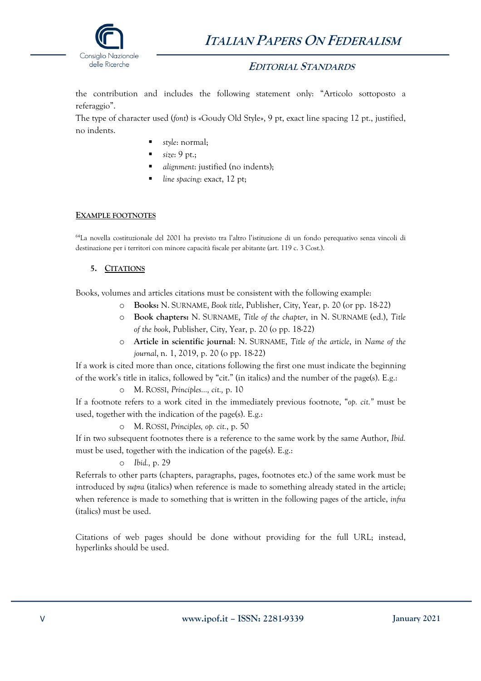

#### **EDITORIAL STANDARDS**

the contribution and includes the following statement only: "Articolo sottoposto a referaggio".

The type of character used (*font*) is «Goudy Old Style», 9 pt, exact line spacing 12 pt., justified, no indents.

- § *style*: normal;
- § *size*: 9 pt.;
- § *alignment*: justified (no indents);
- § *line spacing*: exact, 12 pt;

#### **EXAMPLE FOOTNOTES**

64La novella costituzionale del 2001 ha previsto tra l'altro l'istituzione di un fondo perequativo senza vincoli di destinazione per i territori con minore capacità fiscale per abitante (art. 119 c. 3 Cost.).

#### **5. CITATIONS**

Books, volumes and articles citations must be consistent with the following example:

- o **Books:** N. SURNAME, *Book title*, Publisher, City, Year, p. 20 (or pp. 18-22)
- o **Book chapters:** N. SURNAME, *Title of the chapter*, in N. SURNAME (ed.), *Title of the book*, Publisher, City, Year, p. 20 (o pp. 18-22)
- o **Article in scientific journal**: N. SURNAME, *Title of the article*, in *Name of the journal*, n. 1, 2019, p. 20 (o pp. 18-22)

If a work is cited more than once, citations following the first one must indicate the beginning of the work's title in italics, followed by "cit." (in italics) and the number of the page(s). E.g.:

o M. ROSSI, *Principles…, cit.,* p. 10

If a footnote refers to a work cited in the immediately previous footnote, "*op. cit."* must be used, together with the indication of the page(s). E.g.:

o M. ROSSI, *Principles, op. cit.*, p. 50

If in two subsequent footnotes there is a reference to the same work by the same Author, *Ibid.* must be used, together with the indication of the page(s). E.g.:

o *Ibid.,* p. 29

Referrals to other parts (chapters, paragraphs, pages, footnotes etc.) of the same work must be introduced by *supra* (italics) when reference is made to something already stated in the article; when reference is made to something that is written in the following pages of the article, *infra*  (italics) must be used.

Citations of web pages should be done without providing for the full URL; instead, hyperlinks should be used.